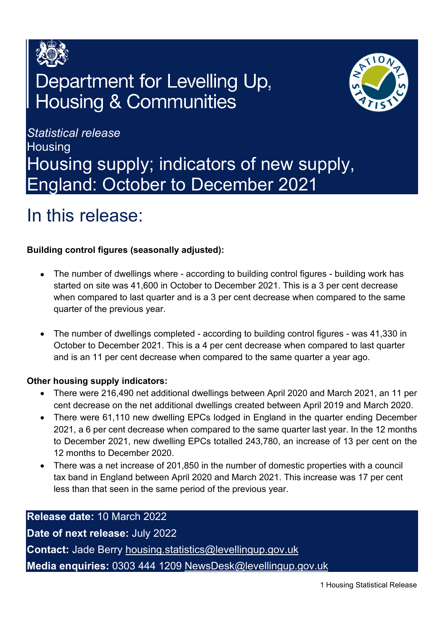

# Department for Levelling Up, **Housing & Communities**



*Statistical release*  **Housing** Housing supply; indicators of new supply, England: October to December 2021

# <span id="page-0-0"></span>In this release:

# **Building control figures (seasonally adjusted):**

- The number of dwellings where according to building control figures building work has started on site was 41,600 in October to December 2021. This is a 3 per cent decrease when compared to last quarter and is a 3 per cent decrease when compared to the same quarter of the previous year.
- The number of dwellings completed according to building control figures was 41,330 in October to December 2021. This is a 4 per cent decrease when compared to last quarter and is an 11 per cent decrease when compared to the same quarter a year ago.

# **Other housing supply indicators:**

- There were 216,490 net additional dwellings between April 2020 and March 2021, an 11 per cent decrease on the net additional dwellings created between April 2019 and March 2020.
- There were 61,110 new dwelling EPCs lodged in England in the quarter ending December 2021, a 6 per cent decrease when compared to the same quarter last year. In the 12 months to December 2021, new dwelling EPCs totalled 243,780, an increase of 13 per cent on the 12 months to December 2020.
- There was a net increase of 201,850 in the number of domestic properties with a council tax band in England between April 2020 and March 2021. This increase was 17 per cent less than that seen in the same period of the previous year.

**Release date:** 10 March 2022 **Date of next release:** July 2022 **Contact:** Jade Berry [housing.statistics@levellingup.gov.uk](mailto:housing.statistics@levellingup.gov.uk)  **Media enquiries:** 0303 444 1209 [NewsDesk@levellingup.gov.uk](mailto:NewsDesk@levellingup.gov.uk)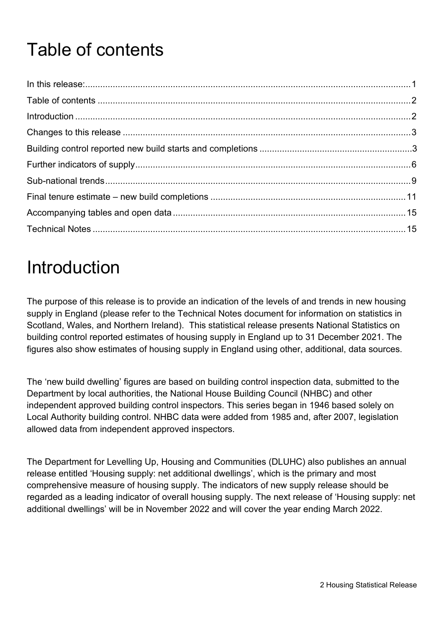# <span id="page-1-0"></span>Table of contents

# <span id="page-1-1"></span>**Introduction**

The purpose of this release is to provide an indication of the levels of and trends in new housing supply in England (please refer to the Technical Notes document for information on statistics in Scotland, Wales, and Northern Ireland). This statistical release presents National Statistics on building control reported estimates of housing supply in England up to 31 December 2021. The figures also show estimates of housing supply in England using other, additional, data sources.

The 'new build dwelling' figures are based on building control inspection data, submitted to the Department by local authorities, the National House Building Council (NHBC) and other independent approved building control inspectors. This series began in 1946 based solely on Local Authority building control. NHBC data were added from 1985 and, after 2007, legislation allowed data from independent approved inspectors.

The Department for Levelling Up, Housing and Communities (DLUHC) also publishes an annual release entitled 'Housing supply: net additional dwellings', which is the primary and most comprehensive measure of housing supply. The indicators of new supply release should be regarded as a leading indicator of overall housing supply. The next release of 'Housing supply: net additional dwellings' will be in November 2022 and will cover the year ending March 2022.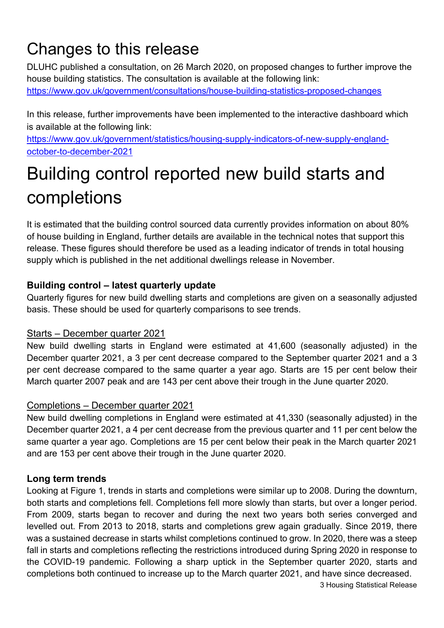# Changes to this release

DLUHC published a consultation, on 26 March 2020, on proposed changes to further improve the house building statistics. The consultation is available at the following link: <https://www.gov.uk/government/consultations/house-building-statistics-proposed-changes>

In this release, further improvements have been implemented to the interactive dashboard which is available at the following link:

[https://www.gov.uk/government/statistics/housing-supply-indicators-of-new-supply-england](https://www.gov.uk/government/statistics/housing-supply-indicators-of-new-supply-england-october-to-december-2021)[october-to-december-2021](https://www.gov.uk/government/statistics/housing-supply-indicators-of-new-supply-england-october-to-december-2021)

# Building control reported new build starts and completions

It is estimated that the building control sourced data currently provides information on about 80% of house building in England, further details are available in the technical notes that support this release. These figures should therefore be used as a leading indicator of trends in total housing supply which is published in the net additional dwellings release in November.

# **Building control – latest quarterly update**

Quarterly figures for new build dwelling starts and completions are given on a seasonally adjusted basis. These should be used for quarterly comparisons to see trends.

# Starts – December quarter 2021

New build dwelling starts in England were estimated at 41,600 (seasonally adjusted) in the December quarter 2021, a 3 per cent decrease compared to the September quarter 2021 and a 3 per cent decrease compared to the same quarter a year ago. Starts are 15 per cent below their March quarter 2007 peak and are 143 per cent above their trough in the June quarter 2020.

# Completions – December quarter 2021

New build dwelling completions in England were estimated at 41,330 (seasonally adjusted) in the December quarter 2021, a 4 per cent decrease from the previous quarter and 11 per cent below the same quarter a year ago. Completions are 15 per cent below their peak in the March quarter 2021 and are 153 per cent above their trough in the June quarter 2020.

# **Long term trends**

3 Housing Statistical Release Looking at Figure 1, trends in starts and completions were similar up to 2008. During the downturn, both starts and completions fell. Completions fell more slowly than starts, but over a longer period. From 2009, starts began to recover and during the next two years both series converged and levelled out. From 2013 to 2018, starts and completions grew again gradually. Since 2019, there was a sustained decrease in starts whilst completions continued to grow. In 2020, there was a steep fall in starts and completions reflecting the restrictions introduced during Spring 2020 in response to the COVID-19 pandemic. Following a sharp uptick in the September quarter 2020, starts and completions both continued to increase up to the March quarter 2021, and have since decreased.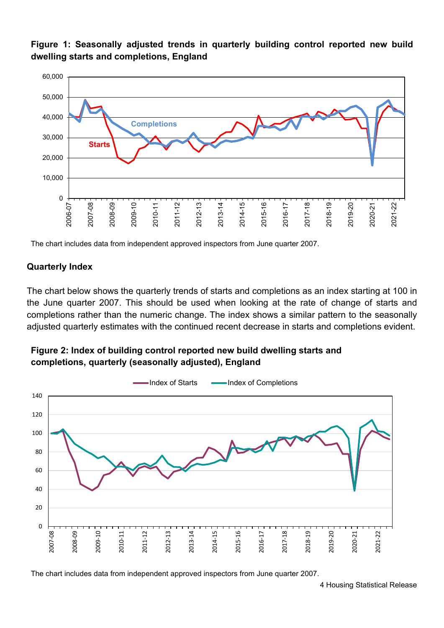**Figure 1: Seasonally adjusted trends in quarterly building control reported new build dwelling starts and completions, England**



The chart includes data from independent approved inspectors from June quarter 2007.

## **Quarterly Index**

The chart below shows the quarterly trends of starts and completions as an index starting at 100 in the June quarter 2007. This should be used when looking at the rate of change of starts and completions rather than the numeric change. The index shows a similar pattern to the seasonally adjusted quarterly estimates with the continued recent decrease in starts and completions evident.

# **Figure 2: Index of building control reported new build dwelling starts and completions, quarterly (seasonally adjusted), England**



The chart includes data from independent approved inspectors from June quarter 2007.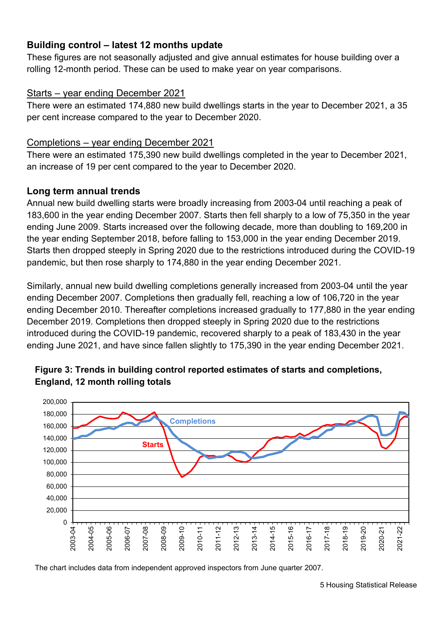# **Building control – latest 12 months update**

These figures are not seasonally adjusted and give annual estimates for house building over a rolling 12-month period. These can be used to make year on year comparisons.

## Starts – year ending December 2021

There were an estimated 174,880 new build dwellings starts in the year to December 2021, a 35 per cent increase compared to the year to December 2020.

### Completions – year ending December 2021

There were an estimated 175,390 new build dwellings completed in the year to December 2021, an increase of 19 per cent compared to the year to December 2020.

# **Long term annual trends**

Annual new build dwelling starts were broadly increasing from 2003-04 until reaching a peak of 183,600 in the year ending December 2007. Starts then fell sharply to a low of 75,350 in the year ending June 2009. Starts increased over the following decade, more than doubling to 169,200 in the year ending September 2018, before falling to 153,000 in the year ending December 2019. Starts then dropped steeply in Spring 2020 due to the restrictions introduced during the COVID-19 pandemic, but then rose sharply to 174,880 in the year ending December 2021.

Similarly, annual new build dwelling completions generally increased from 2003-04 until the year ending December 2007. Completions then gradually fell, reaching a low of 106,720 in the year ending December 2010. Thereafter completions increased gradually to 177,880 in the year ending December 2019. Completions then dropped steeply in Spring 2020 due to the restrictions introduced during the COVID-19 pandemic, recovered sharply to a peak of 183,430 in the year ending June 2021, and have since fallen slightly to 175,390 in the year ending December 2021.





The chart includes data from independent approved inspectors from June quarter 2007.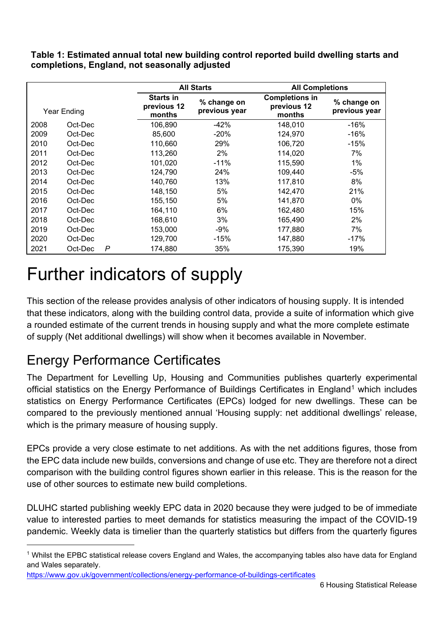**Table 1: Estimated annual total new building control reported build dwelling starts and completions, England, not seasonally adjusted**

|             |         |   | <b>All Starts</b>                         |                              | <b>All Completions</b>                         |                              |
|-------------|---------|---|-------------------------------------------|------------------------------|------------------------------------------------|------------------------------|
| Year Ending |         |   | <b>Starts in</b><br>previous 12<br>months | % change on<br>previous year | <b>Completions in</b><br>previous 12<br>months | % change on<br>previous year |
| 2008        | Oct-Dec |   | 106,890                                   | $-42%$                       | 148,010                                        | $-16%$                       |
| 2009        | Oct-Dec |   | 85,600                                    | $-20%$                       | 124.970                                        | -16%                         |
| 2010        | Oct-Dec |   | 110,660                                   | 29%                          | 106,720                                        | $-15%$                       |
| 2011        | Oct-Dec |   | 113,260                                   | 2%                           | 114.020                                        | 7%                           |
| 2012        | Oct-Dec |   | 101,020                                   | $-11%$                       | 115,590                                        | 1%                           |
| 2013        | Oct-Dec |   | 124,790                                   | 24%                          | 109,440                                        | -5%                          |
| 2014        | Oct-Dec |   | 140,760                                   | 13%                          | 117,810                                        | 8%                           |
| 2015        | Oct-Dec |   | 148.150                                   | 5%                           | 142,470                                        | 21%                          |
| 2016        | Oct-Dec |   | 155,150                                   | 5%                           | 141,870                                        | 0%                           |
| 2017        | Oct-Dec |   | 164,110                                   | 6%                           | 162.480                                        | 15%                          |
| 2018        | Oct-Dec |   | 168,610                                   | 3%                           | 165,490                                        | 2%                           |
| 2019        | Oct-Dec |   | 153.000                                   | -9%                          | 177.880                                        | 7%                           |
| 2020        | Oct-Dec |   | 129,700                                   | $-15%$                       | 147.880                                        | $-17%$                       |
| 2021        | Oct-Dec | P | 174,880                                   | 35%                          | 175,390                                        | 19%                          |

# Further indicators of supply

This section of the release provides analysis of other indicators of housing supply. It is intended that these indicators, along with the building control data, provide a suite of information which give a rounded estimate of the current trends in housing supply and what the more complete estimate of supply (Net additional dwellings) will show when it becomes available in November.

# Energy Performance Certificates

The Department for Levelling Up, Housing and Communities publishes quarterly experimental official statistics on the Energy Performance of Buildings Certificates in England<sup>[1](#page-5-0)</sup> which includes statistics on Energy Performance Certificates (EPCs) lodged for new dwellings. These can be compared to the previously mentioned annual 'Housing supply: net additional dwellings' release, which is the primary measure of housing supply.

EPCs provide a very close estimate to net additions. As with the net additions figures, those from the EPC data include new builds, conversions and change of use etc. They are therefore not a direct comparison with the building control figures shown earlier in this release. This is the reason for the use of other sources to estimate new build completions.

DLUHC started publishing weekly EPC data in 2020 because they were judged to be of immediate value to interested parties to meet demands for statistics measuring the impact of the COVID-19 pandemic. Weekly data is timelier than the quarterly statistics but differs from the quarterly figures

<span id="page-5-0"></span><sup>1</sup> Whilst the EPBC statistical release covers England and Wales, the accompanying tables also have data for England and Wales separately.

<https://www.gov.uk/government/collections/energy-performance-of-buildings-certificates>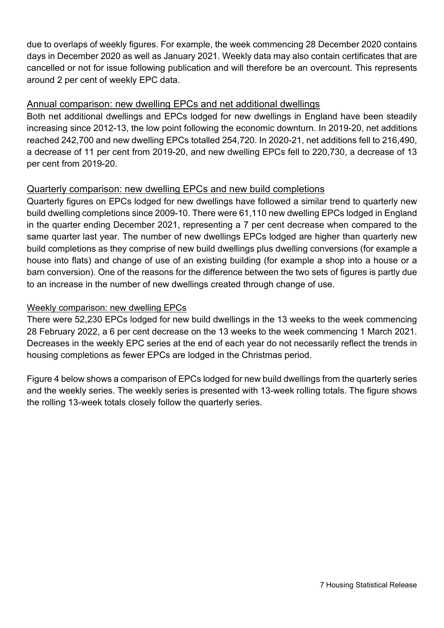due to overlaps of weekly figures. For example, the week commencing 28 December 2020 contains days in December 2020 as well as January 2021. Weekly data may also contain certificates that are cancelled or not for issue following publication and will therefore be an overcount. This represents around 2 per cent of weekly EPC data.

### Annual comparison: new dwelling EPCs and net additional dwellings

Both net additional dwellings and EPCs lodged for new dwellings in England have been steadily increasing since 2012-13, the low point following the economic downturn. In 2019-20, net additions reached 242,700 and new dwelling EPCs totalled 254,720. In 2020-21, net additions fell to 216,490, a decrease of 11 per cent from 2019-20, and new dwelling EPCs fell to 220,730, a decrease of 13 per cent from 2019-20.

## Quarterly comparison: new dwelling EPCs and new build completions

Quarterly figures on EPCs lodged for new dwellings have followed a similar trend to quarterly new build dwelling completions since 2009-10. There were 61,110 new dwelling EPCs lodged in England in the quarter ending December 2021, representing a 7 per cent decrease when compared to the same quarter last year. The number of new dwellings EPCs lodged are higher than quarterly new build completions as they comprise of new build dwellings plus dwelling conversions (for example a house into flats) and change of use of an existing building (for example a shop into a house or a barn conversion). One of the reasons for the difference between the two sets of figures is partly due to an increase in the number of new dwellings created through change of use.

### Weekly comparison: new dwelling EPCs

There were 52,230 EPCs lodged for new build dwellings in the 13 weeks to the week commencing 28 February 2022, a 6 per cent decrease on the 13 weeks to the week commencing 1 March 2021. Decreases in the weekly EPC series at the end of each year do not necessarily reflect the trends in housing completions as fewer EPCs are lodged in the Christmas period.

Figure 4 below shows a comparison of EPCs lodged for new build dwellings from the quarterly series and the weekly series. The weekly series is presented with 13-week rolling totals. The figure shows the rolling 13-week totals closely follow the quarterly series.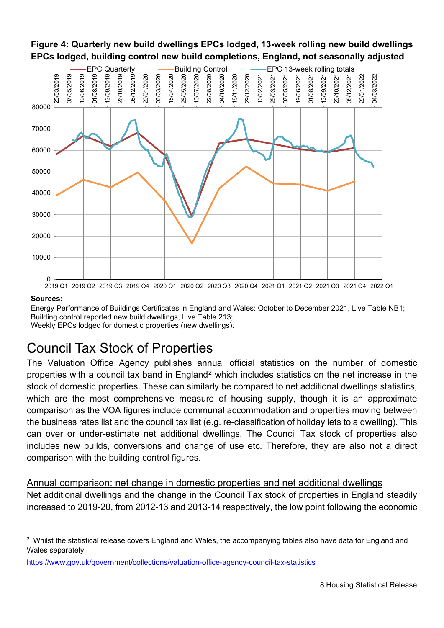

**Figure 4: Quarterly new build dwellings EPCs lodged, 13-week rolling new build dwellings**

#### **Sources:**

Energy Performance of Buildings Certificates in England and Wales: October to December 2021, Live Table NB1; Building control reported new build dwellings, Live Table 213; Weekly EPCs lodged for domestic properties (new dwellings).

# Council Tax Stock of Properties

The Valuation Office Agency publishes annual official statistics on the number of domestic properties with a council tax band in England<sup>[2](#page-7-0)</sup> which includes statistics on the net increase in the stock of domestic properties. These can similarly be compared to net additional dwellings statistics, which are the most comprehensive measure of housing supply, though it is an approximate comparison as the VOA figures include communal accommodation and properties moving between the business rates list and the council tax list (e.g. re-classification of holiday lets to a dwelling). This can over or under-estimate net additional dwellings. The Council Tax stock of properties also includes new builds, conversions and change of use etc. Therefore, they are also not a direct comparison with the building control figures.

#### Annual comparison: net change in domestic properties and net additional dwellings

Net additional dwellings and the change in the Council Tax stock of properties in England steadily increased to 2019-20, from 2012-13 and 2013-14 respectively, the low point following the economic

<span id="page-7-0"></span><sup>2</sup> Whilst the statistical release covers England and Wales, the accompanying tables also have data for England and Wales separately.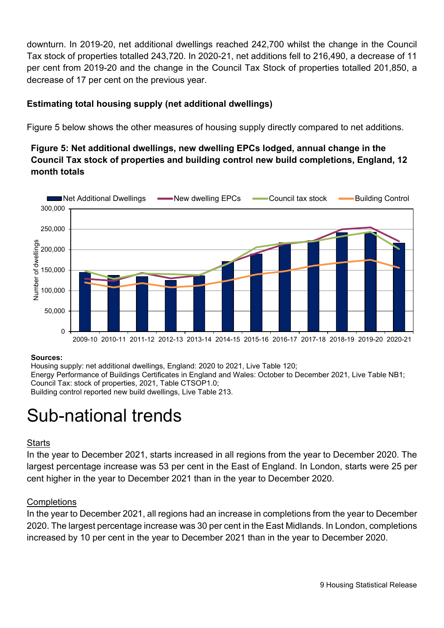downturn. In 2019-20, net additional dwellings reached 242,700 whilst the change in the Council Tax stock of properties totalled 243,720. In 2020-21, net additions fell to 216,490, a decrease of 11 per cent from 2019-20 and the change in the Council Tax Stock of properties totalled 201,850, a decrease of 17 per cent on the previous year.

# **Estimating total housing supply (net additional dwellings)**

Figure 5 below shows the other measures of housing supply directly compared to net additions.

# **Figure 5: Net additional dwellings, new dwelling EPCs lodged, annual change in the Council Tax stock of properties and building control new build completions, England, 12 month totals**



#### **Sources:**

Housing supply: net additional dwellings, England: 2020 to 2021, Live Table 120; Energy Performance of Buildings Certificates in England and Wales: October to December 2021, Live Table NB1; Council Tax: stock of properties, 2021, Table CTSOP1.0; Building control reported new build dwellings, Live Table 213.

# Sub-national trends

### **Starts**

In the year to December 2021, starts increased in all regions from the year to December 2020. The largest percentage increase was 53 per cent in the East of England. In London, starts were 25 per cent higher in the year to December 2021 than in the year to December 2020.

### **Completions**

In the year to December 2021, all regions had an increase in completions from the year to December 2020. The largest percentage increase was 30 per cent in the East Midlands. In London, completions increased by 10 per cent in the year to December 2021 than in the year to December 2020.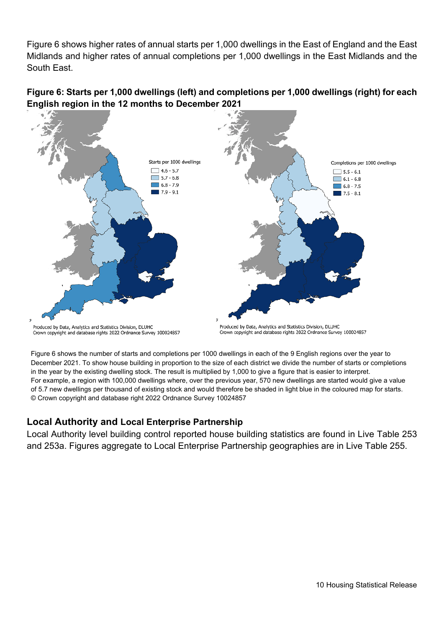Figure 6 shows higher rates of annual starts per 1,000 dwellings in the East of England and the East Midlands and higher rates of annual completions per 1,000 dwellings in the East Midlands and the South East.





Figure 6 shows the number of starts and completions per 1000 dwellings in each of the 9 English regions over the year to December 2021. To show house building in proportion to the size of each district we divide the number of starts or completions in the year by the existing dwelling stock. The result is multiplied by 1,000 to give a figure that is easier to interpret. For example, a region with 100,000 dwellings where, over the previous year, 570 new dwellings are started would give a value of 5.7 new dwellings per thousand of existing stock and would therefore be shaded in light blue in the coloured map for starts. © Crown copyright and database right 2022 Ordnance Survey 10024857

# **Local Authority and Local Enterprise Partnership**

Local Authority level building control reported house building statistics are found in Live Table 253 and 253a. Figures aggregate to Local Enterprise Partnership geographies are in Live Table 255.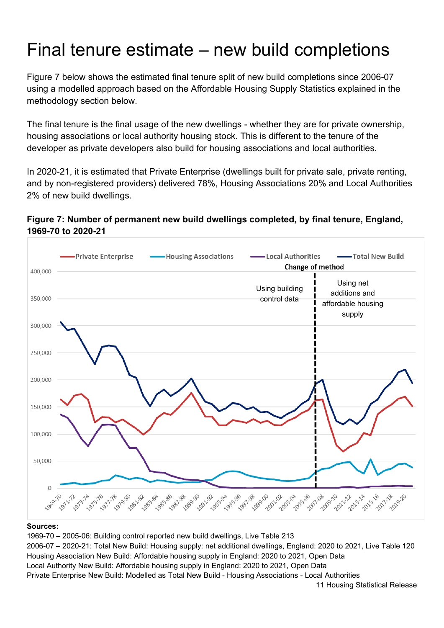# Final tenure estimate – new build completions

Figure 7 below shows the estimated final tenure split of new build completions since 2006-07 using a modelled approach based on the Affordable Housing Supply Statistics explained in the methodology section below.

The final tenure is the final usage of the new dwellings - whether they are for private ownership, housing associations or local authority housing stock. This is different to the tenure of the developer as private developers also build for housing associations and local authorities.

In 2020-21, it is estimated that Private Enterprise (dwellings built for private sale, private renting, and by non-registered providers) delivered 78%, Housing Associations 20% and Local Authorities 2% of new build dwellings.

### **Figure 7: Number of permanent new build dwellings completed, by final tenure, England, 1969-70 to 2020-21**



#### **Sources:**

1969-70 – 2005-06: Building control reported new build dwellings, Live Table 213 2006-07 – 2020-21: Total New Build: Housing supply: net additional dwellings, England: 2020 to 2021, Live Table 120 Housing Association New Build: Affordable housing supply in England: 2020 to 2021, Open Data Local Authority New Build: Affordable housing supply in England: 2020 to 2021, Open Data Private Enterprise New Build: Modelled as Total New Build - Housing Associations - Local Authorities

11 Housing Statistical Release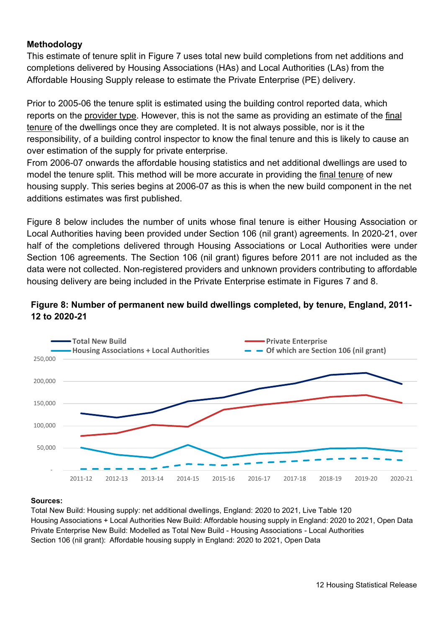### **Methodology**

This estimate of tenure split in Figure 7 uses total new build completions from net additions and completions delivered by Housing Associations (HAs) and Local Authorities (LAs) from the Affordable Housing Supply release to estimate the Private Enterprise (PE) delivery.

Prior to 2005-06 the tenure split is estimated using the building control reported data, which reports on the provider type. However, this is not the same as providing an estimate of the final tenure of the dwellings once they are completed. It is not always possible, nor is it the responsibility, of a building control inspector to know the final tenure and this is likely to cause an over estimation of the supply for private enterprise.

From 2006-07 onwards the affordable housing statistics and net additional dwellings are used to model the tenure split. This method will be more accurate in providing the final tenure of new housing supply. This series begins at 2006-07 as this is when the new build component in the net additions estimates was first published.

Figure 8 below includes the number of units whose final tenure is either Housing Association or Local Authorities having been provided under Section 106 (nil grant) agreements. In 2020-21, over half of the completions delivered through Housing Associations or Local Authorities were under Section 106 agreements. The Section 106 (nil grant) figures before 2011 are not included as the data were not collected. Non-registered providers and unknown providers contributing to affordable housing delivery are being included in the Private Enterprise estimate in Figures 7 and 8.

### **Figure 8: Number of permanent new build dwellings completed, by tenure, England, 2011- 12 to 2020-21**



#### **Sources:**

Total New Build: Housing supply: net additional dwellings, England: 2020 to 2021, Live Table 120 Housing Associations + Local Authorities New Build: Affordable housing supply in England: 2020 to 2021, Open Data Private Enterprise New Build: Modelled as Total New Build - Housing Associations - Local Authorities Section 106 (nil grant): Affordable housing supply in England: 2020 to 2021, Open Data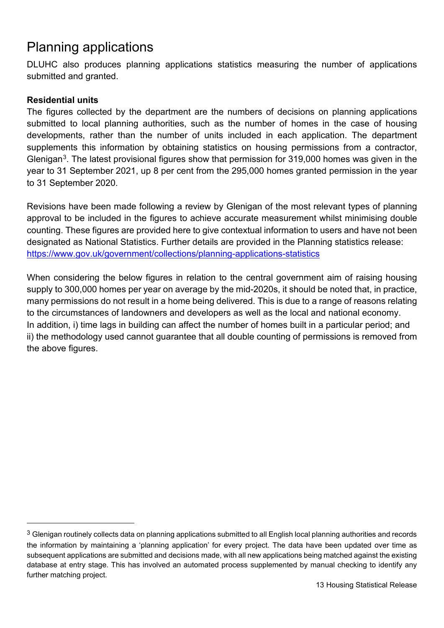# Planning applications

DLUHC also produces planning applications statistics measuring the number of applications submitted and granted.

### **Residential units**

The figures collected by the department are the numbers of decisions on planning applications submitted to local planning authorities, such as the number of homes in the case of housing developments, rather than the number of units included in each application. The department supplements this information by obtaining statistics on housing permissions from a contractor, Glenigan[3](#page-12-0). The latest provisional figures show that permission for 319,000 homes was given in the year to 31 September 2021, up 8 per cent from the 295,000 homes granted permission in the year to 31 September 2020.

Revisions have been made following a review by Glenigan of the most relevant types of planning approval to be included in the figures to achieve accurate measurement whilst minimising double counting. These figures are provided here to give contextual information to users and have not been designated as National Statistics. Further details are provided in the Planning statistics release: <https://www.gov.uk/government/collections/planning-applications-statistics>

When considering the below figures in relation to the central government aim of raising housing supply to 300,000 homes per year on average by the mid-2020s, it should be noted that, in practice, many permissions do not result in a home being delivered. This is due to a range of reasons relating to the circumstances of landowners and developers as well as the local and national economy. In addition, i) time lags in building can affect the number of homes built in a particular period; and ii) the methodology used cannot guarantee that all double counting of permissions is removed from the above figures.

<span id="page-12-0"></span> $3$  Glenigan routinely collects data on planning applications submitted to all English local planning authorities and records the information by maintaining a 'planning application' for every project. The data have been updated over time as subsequent applications are submitted and decisions made, with all new applications being matched against the existing database at entry stage. This has involved an automated process supplemented by manual checking to identify any further matching project.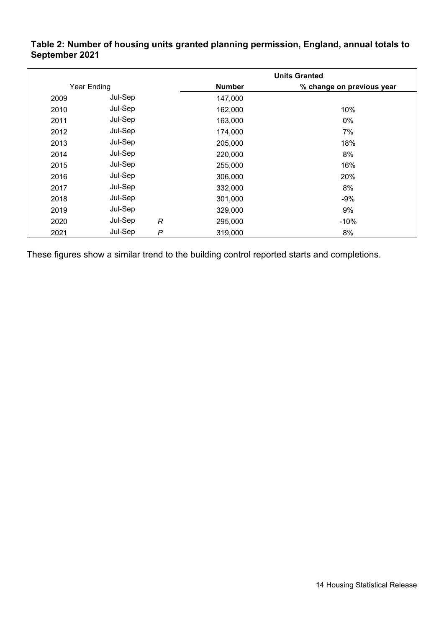### **Table 2: Number of housing units granted planning permission, England, annual totals to September 2021**

|             |         |                | <b>Units Granted</b>      |        |  |  |
|-------------|---------|----------------|---------------------------|--------|--|--|
| Year Ending |         | <b>Number</b>  | % change on previous year |        |  |  |
| 2009        | Jul-Sep |                | 147,000                   |        |  |  |
| 2010        | Jul-Sep |                | 162,000                   | 10%    |  |  |
| 2011        | Jul-Sep |                | 163,000                   | 0%     |  |  |
| 2012        | Jul-Sep |                | 174,000                   | 7%     |  |  |
| 2013        | Jul-Sep |                | 205,000                   | 18%    |  |  |
| 2014        | Jul-Sep |                | 220,000                   | 8%     |  |  |
| 2015        | Jul-Sep |                | 255,000                   | 16%    |  |  |
| 2016        | Jul-Sep |                | 306,000                   | 20%    |  |  |
| 2017        | Jul-Sep |                | 332,000                   | 8%     |  |  |
| 2018        | Jul-Sep |                | 301,000                   | $-9%$  |  |  |
| 2019        | Jul-Sep |                | 329,000                   | 9%     |  |  |
| 2020        | Jul-Sep | $\mathcal{R}$  | 295,000                   | $-10%$ |  |  |
| 2021        | Jul-Sep | $\overline{P}$ | 319,000                   | 8%     |  |  |

<span id="page-13-0"></span>These figures show a similar trend to the building control reported starts and completions.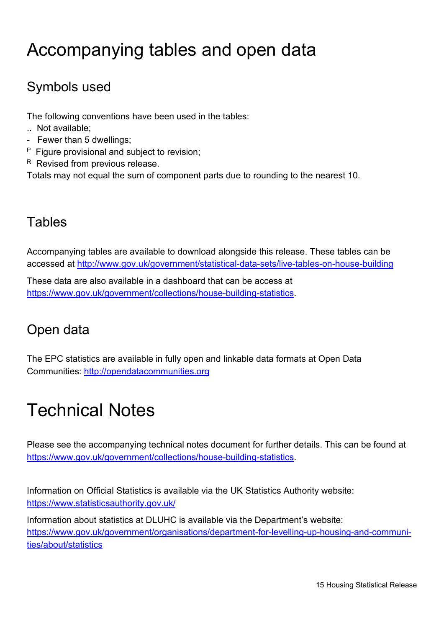# Accompanying tables and open data

# Symbols used

The following conventions have been used in the tables:

- .. Not available;
- Fewer than 5 dwellings;
- P Figure provisional and subject to revision;
- R Revised from previous release.

Totals may not equal the sum of component parts due to rounding to the nearest 10.

# **Tables**

Accompanying tables are available to download alongside this release. These tables can be accessed at<http://www.gov.uk/government/statistical-data-sets/live-tables-on-house-building>

These data are also available in a dashboard that can be access at [https://www.gov.uk/government/collections/house-building-statistics.](https://www.gov.uk/government/collections/house-building-statistics)

# Open data

The EPC statistics are available in fully open and linkable data formats at Open Data Communities: [http://opendatacommunities.org](http://opendatacommunities.org/)

# <span id="page-14-0"></span>Technical Notes

Please see the accompanying technical notes document for further details. This can be found at [https://www.gov.uk/government/collections/house-building-statistics.](https://www.gov.uk/government/collections/house-building-statistics)

Information on Official Statistics is available via the UK Statistics Authority website: <https://www.statisticsauthority.gov.uk/>

Information about statistics at DLUHC is available via the Department's website: [https://www.gov.uk/government/organisations/department-for-levelling-up-housing-and-communi](https://www.gov.uk/government/organisations/department-for-levelling-up-housing-and-communities/about/statistics)[ties/about/statistics](https://www.gov.uk/government/organisations/department-for-levelling-up-housing-and-communities/about/statistics)